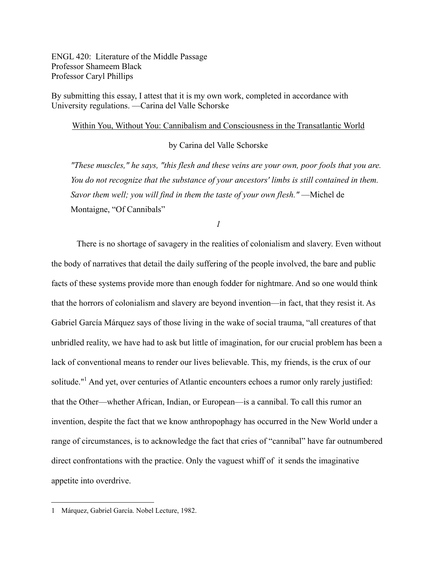ENGL 420: Literature of the Middle Passage Professor Shameem Black Professor Caryl Phillips

By submitting this essay, I attest that it is my own work, completed in accordance with University regulations. —Carina del Valle Schorske

## Within You, Without You: Cannibalism and Consciousness in the Transatlantic World

by Carina del Valle Schorske

*"These muscles," he says, "this flesh and these veins are your own, poor fools that you are. You do not recognize that the substance of your ancestors' limbs is still contained in them. Savor them well; you will find in them the taste of your own flesh."* —Michel de Montaigne, "Of Cannibals"

*1*

There is no shortage of savagery in the realities of colonialism and slavery. Even without the body of narratives that detail the daily suffering of the people involved, the bare and public facts of these systems provide more than enough fodder for nightmare. And so one would think that the horrors of colonialism and slavery are beyond invention—in fact, that they resist it. As Gabriel García Márquez says of those living in the wake of social trauma, "all creatures of that unbridled reality, we have had to ask but little of imagination, for our crucial problem has been a lack of conventional means to render our lives believable. This, my friends, is the crux of our solitude."<sup>1</sup> And yet, over centuries of Atlantic encounters echoes a rumor only rarely justified: that the Other—whether African, Indian, or European—is a cannibal. To call this rumor an invention, despite the fact that we know anthropophagy has occurred in the New World under a range of circumstances, is to acknowledge the fact that cries of "cannibal" have far outnumbered direct confrontations with the practice. Only the vaguest whiff of it sends the imaginative appetite into overdrive.

<sup>1</sup> Márquez, Gabriel García. Nobel Lecture, 1982.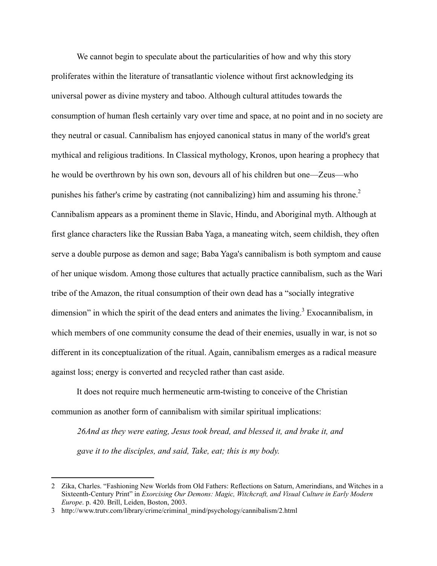We cannot begin to speculate about the particularities of how and why this story proliferates within the literature of transatlantic violence without first acknowledging its universal power as divine mystery and taboo. Although cultural attitudes towards the consumption of human flesh certainly vary over time and space, at no point and in no society are they neutral or casual. Cannibalism has enjoyed canonical status in many of the world's great mythical and religious traditions. In Classical mythology, Kronos, upon hearing a prophecy that he would be overthrown by his own son, devours all of his children but one—Zeus—who punishes his father's crime by castrating (not cannibalizing) him and assuming his throne.<sup>2</sup> Cannibalism appears as a prominent theme in Slavic, Hindu, and Aboriginal myth. Although at first glance characters like the Russian Baba Yaga, a maneating witch, seem childish, they often serve a double purpose as demon and sage; Baba Yaga's cannibalism is both symptom and cause of her unique wisdom. Among those cultures that actually practice cannibalism, such as the Wari tribe of the Amazon, the ritual consumption of their own dead has a "socially integrative dimension" in which the spirit of the dead enters and animates the living.<sup>3</sup> Exocannibalism, in which members of one community consume the dead of their enemies, usually in war, is not so different in its conceptualization of the ritual. Again, cannibalism emerges as a radical measure against loss; energy is converted and recycled rather than cast aside.

It does not require much hermeneutic arm-twisting to conceive of the Christian communion as another form of cannibalism with similar spiritual implications:

*26And as they were eating, Jesus took bread, and blessed it, and brake it, and gave it to the disciples, and said, Take, eat; this is my body.*

<sup>2</sup> Zika, Charles. "Fashioning New Worlds from Old Fathers: Reflections on Saturn, Amerindians, and Witches in a Sixteenth-Century Print" in *Exorcising Our Demons: Magic, Witchcraft, and Visual Culture in Early Modern Europe*. p. 420. Brill, Leiden, Boston, 2003.

<sup>3</sup> http://www.trutv.com/library/crime/criminal\_mind/psychology/cannibalism/2.html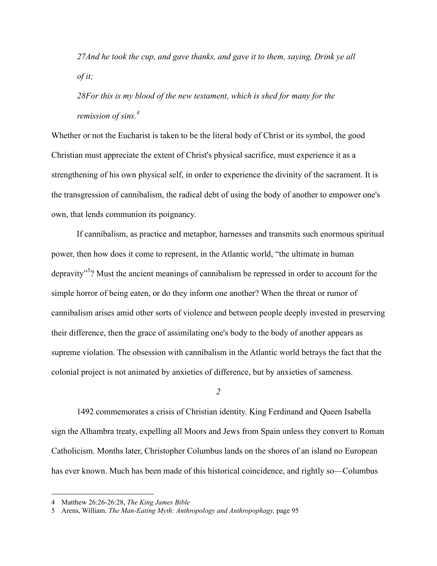*27And he took the cup, and gave thanks, and gave it to them, saying, Drink ye all of it;*

*28For this is my blood of the new testament, which is shed for many for the remission of sins. 4*

Whether or not the Eucharist is taken to be the literal body of Christ or its symbol, the good Christian must appreciate the extent of Christ's physical sacrifice, must experience it as a strengthening of his own physical self, in order to experience the divinity of the sacrament. It is the transgression of cannibalism, the radical debt of using the body of another to empower one's own, that lends communion its poignancy.

If cannibalism, as practice and metaphor, harnesses and transmits such enormous spiritual power, then how does it come to represent, in the Atlantic world, "the ultimate in human depravity<sup>5</sup>? Must the ancient meanings of cannibalism be repressed in order to account for the simple horror of being eaten, or do they inform one another? When the threat or rumor of cannibalism arises amid other sorts of violence and between people deeply invested in preserving their difference, then the grace of assimilating one's body to the body of another appears as supreme violation. The obsession with cannibalism in the Atlantic world betrays the fact that the colonial project is not animated by anxieties of difference, but by anxieties of sameness.

*2*

1492 commemorates a crisis of Christian identity. King Ferdinand and Queen Isabella sign the Alhambra treaty, expelling all Moors and Jews from Spain unless they convert to Roman Catholicism. Months later, Christopher Columbus lands on the shores of an island no European has ever known. Much has been made of this historical coincidence, and rightly so—Columbus

<sup>4</sup> Matthew 26:26-26:28, *The King James Bible*

<sup>5</sup> Arens, William. *The Man-Eating Myth: Anthropology and Anthropophagy,* page 95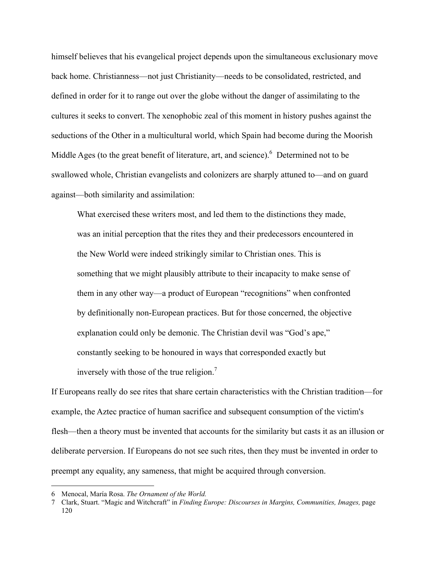himself believes that his evangelical project depends upon the simultaneous exclusionary move back home. Christianness—not just Christianity—needs to be consolidated, restricted, and defined in order for it to range out over the globe without the danger of assimilating to the cultures it seeks to convert. The xenophobic zeal of this moment in history pushes against the seductions of the Other in a multicultural world, which Spain had become during the Moorish Middle Ages (to the great benefit of literature, art, and science).  $6$  Determined not to be swallowed whole, Christian evangelists and colonizers are sharply attuned to—and on guard against—both similarity and assimilation:

What exercised these writers most, and led them to the distinctions they made, was an initial perception that the rites they and their predecessors encountered in the New World were indeed strikingly similar to Christian ones. This is something that we might plausibly attribute to their incapacity to make sense of them in any other way—a product of European "recognitions" when confronted by definitionally non-European practices. But for those concerned, the objective explanation could only be demonic. The Christian devil was "God's ape," constantly seeking to be honoured in ways that corresponded exactly but inversely with those of the true religion.<sup>7</sup>

If Europeans really do see rites that share certain characteristics with the Christian tradition—for example, the Aztec practice of human sacrifice and subsequent consumption of the victim's flesh—then a theory must be invented that accounts for the similarity but casts it as an illusion or deliberate perversion. If Europeans do not see such rites, then they must be invented in order to preempt any equality, any sameness, that might be acquired through conversion.

 <sup>6</sup> Menocal, María Rosa. *The Ornament of the World.*

<sup>7</sup> Clark, Stuart. "Magic and Witchcraft" in *Finding Europe: Discourses in Margins, Communities, Images,* page 120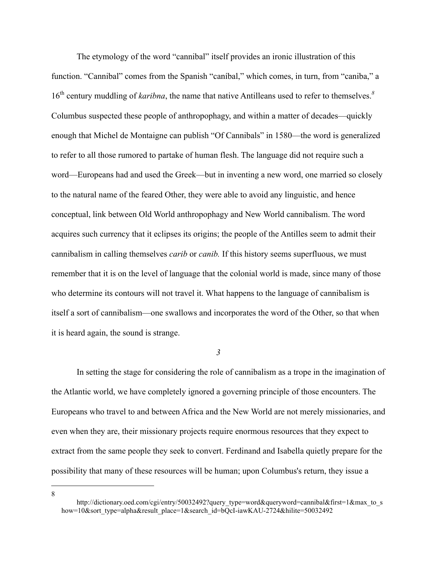The etymology of the word "cannibal" itself provides an ironic illustration of this function. "Cannibal" comes from the Spanish "caníbal," which comes, in turn, from "caniba," a 16<sup>th</sup> century muddling of *karibna*, the name that native Antilleans used to refer to themselves.<sup>8</sup> Columbus suspected these people of anthropophagy, and within a matter of decades—quickly enough that Michel de Montaigne can publish "Of Cannibals" in 1580—the word is generalized to refer to all those rumored to partake of human flesh. The language did not require such a word—Europeans had and used the Greek—but in inventing a new word, one married so closely to the natural name of the feared Other, they were able to avoid any linguistic, and hence conceptual, link between Old World anthropophagy and New World cannibalism. The word acquires such currency that it eclipses its origins; the people of the Antilles seem to admit their cannibalism in calling themselves *carib* or *canib.* If this history seems superfluous, we must remember that it is on the level of language that the colonial world is made, since many of those who determine its contours will not travel it. What happens to the language of cannibalism is itself a sort of cannibalism—one swallows and incorporates the word of the Other, so that when it is heard again, the sound is strange.

*3*

In setting the stage for considering the role of cannibalism as a trope in the imagination of the Atlantic world, we have completely ignored a governing principle of those encounters. The Europeans who travel to and between Africa and the New World are not merely missionaries, and even when they are, their missionary projects require enormous resources that they expect to extract from the same people they seek to convert. Ferdinand and Isabella quietly prepare for the possibility that many of these resources will be human; upon Columbus's return, they issue a

8

http://dictionary.oed.com/cgi/entry/50032492?query\_type=word&queryword=cannibal&first=1&max\_to\_s how=10&sort\_type=alpha&result\_place=1&search\_id=bQcI-iawKAU-2724&hilite=50032492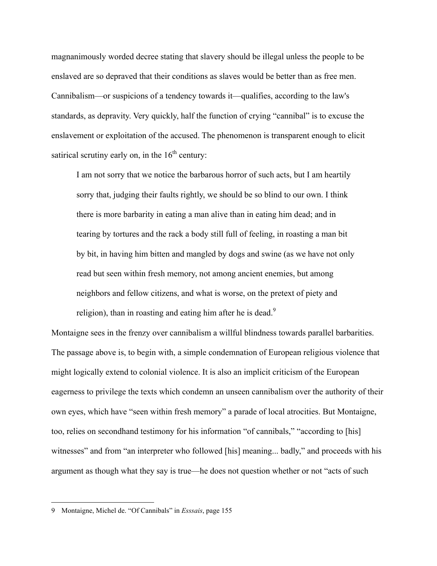magnanimously worded decree stating that slavery should be illegal unless the people to be enslaved are so depraved that their conditions as slaves would be better than as free men. Cannibalism—or suspicions of a tendency towards it—qualifies, according to the law's standards, as depravity. Very quickly, half the function of crying "cannibal" is to excuse the enslavement or exploitation of the accused. The phenomenon is transparent enough to elicit satirical scrutiny early on, in the  $16<sup>th</sup>$  century:

I am not sorry that we notice the barbarous horror of such acts, but I am heartily sorry that, judging their faults rightly, we should be so blind to our own. I think there is more barbarity in eating a man alive than in eating him dead; and in tearing by tortures and the rack a body still full of feeling, in roasting a man bit by bit, in having him bitten and mangled by dogs and swine (as we have not only read but seen within fresh memory, not among ancient enemies, but among neighbors and fellow citizens, and what is worse, on the pretext of piety and religion), than in roasting and eating him after he is dead.<sup>9</sup>

Montaigne sees in the frenzy over cannibalism a willful blindness towards parallel barbarities. The passage above is, to begin with, a simple condemnation of European religious violence that might logically extend to colonial violence. It is also an implicit criticism of the European eagerness to privilege the texts which condemn an unseen cannibalism over the authority of their own eyes, which have "seen within fresh memory" a parade of local atrocities. But Montaigne, too, relies on secondhand testimony for his information "of cannibals," "according to [his] witnesses" and from "an interpreter who followed [his] meaning... badly," and proceeds with his argument as though what they say is true—he does not question whether or not "acts of such

<sup>9</sup> Montaigne, Michel de. "Of Cannibals" in *Esssais*, page 155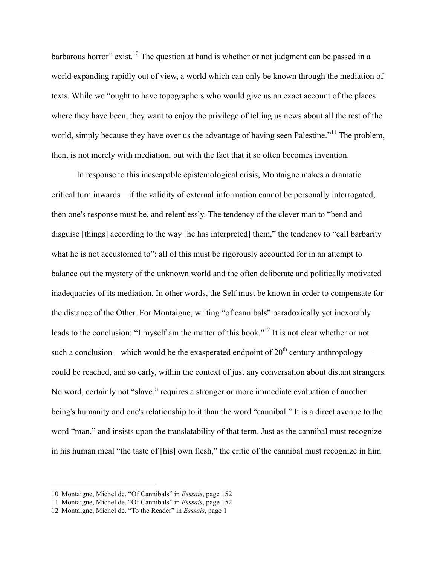barbarous horror" exist.<sup>10</sup> The question at hand is whether or not judgment can be passed in a world expanding rapidly out of view, a world which can only be known through the mediation of texts. While we "ought to have topographers who would give us an exact account of the places where they have been, they want to enjoy the privilege of telling us news about all the rest of the world, simply because they have over us the advantage of having seen Palestine."<sup>11</sup> The problem, then, is not merely with mediation, but with the fact that it so often becomes invention.

In response to this inescapable epistemological crisis, Montaigne makes a dramatic critical turn inwards—if the validity of external information cannot be personally interrogated, then one's response must be, and relentlessly. The tendency of the clever man to "bend and disguise [things] according to the way [he has interpreted] them," the tendency to "call barbarity what he is not accustomed to": all of this must be rigorously accounted for in an attempt to balance out the mystery of the unknown world and the often deliberate and politically motivated inadequacies of its mediation. In other words, the Self must be known in order to compensate for the distance of the Other. For Montaigne, writing "of cannibals" paradoxically yet inexorably leads to the conclusion: "I myself am the matter of this book."<sup>12</sup> It is not clear whether or not such a conclusion—which would be the exasperated endpoint of  $20<sup>th</sup>$  century anthropology could be reached, and so early, within the context of just any conversation about distant strangers. No word, certainly not "slave," requires a stronger or more immediate evaluation of another being's humanity and one's relationship to it than the word "cannibal." It is a direct avenue to the word "man," and insists upon the translatability of that term. Just as the cannibal must recognize in his human meal "the taste of [his] own flesh," the critic of the cannibal must recognize in him

 <sup>10</sup> Montaigne, Michel de. "Of Cannibals" in *Esssais*, page <sup>152</sup>

<sup>11</sup> Montaigne, Michel de. "Of Cannibals" in *Esssais*, page 152

<sup>12</sup> Montaigne, Michel de. "To the Reader" in *Esssais*, page 1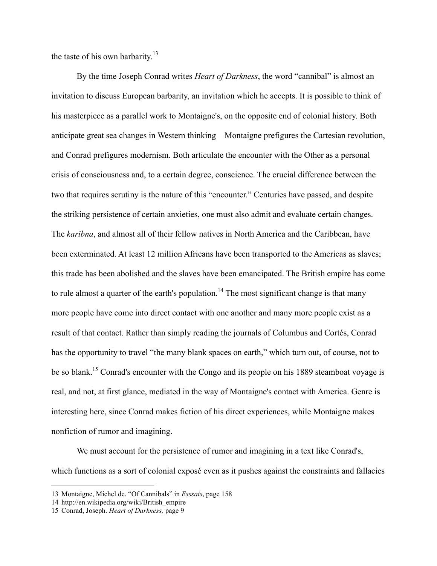the taste of his own barbarity.<sup>13</sup>

By the time Joseph Conrad writes *Heart of Darkness*, the word "cannibal" is almost an invitation to discuss European barbarity, an invitation which he accepts. It is possible to think of his masterpiece as a parallel work to Montaigne's, on the opposite end of colonial history. Both anticipate great sea changes in Western thinking—Montaigne prefigures the Cartesian revolution, and Conrad prefigures modernism. Both articulate the encounter with the Other as a personal crisis of consciousness and, to a certain degree, conscience. The crucial difference between the two that requires scrutiny is the nature of this "encounter." Centuries have passed, and despite the striking persistence of certain anxieties, one must also admit and evaluate certain changes. The *karibna*, and almost all of their fellow natives in North America and the Caribbean, have been exterminated. At least 12 million Africans have been transported to the Americas as slaves; this trade has been abolished and the slaves have been emancipated. The British empire has come to rule almost a quarter of the earth's population.<sup>14</sup> The most significant change is that many more people have come into direct contact with one another and many more people exist as a result of that contact. Rather than simply reading the journals of Columbus and Cortés, Conrad has the opportunity to travel "the many blank spaces on earth," which turn out, of course, not to be so blank.<sup>15</sup> Conrad's encounter with the Congo and its people on his 1889 steamboat voyage is real, and not, at first glance, mediated in the way of Montaigne's contact with America. Genre is interesting here, since Conrad makes fiction of his direct experiences, while Montaigne makes nonfiction of rumor and imagining.

We must account for the persistence of rumor and imagining in a text like Conrad's, which functions as a sort of colonial exposé even as it pushes against the constraints and fallacies

 <sup>13</sup> Montaigne, Michel de. "Of Cannibals" in *Esssais*, page <sup>158</sup>

<sup>14</sup> http://en.wikipedia.org/wiki/British\_empire

<sup>15</sup> Conrad, Joseph. *Heart of Darkness,* page 9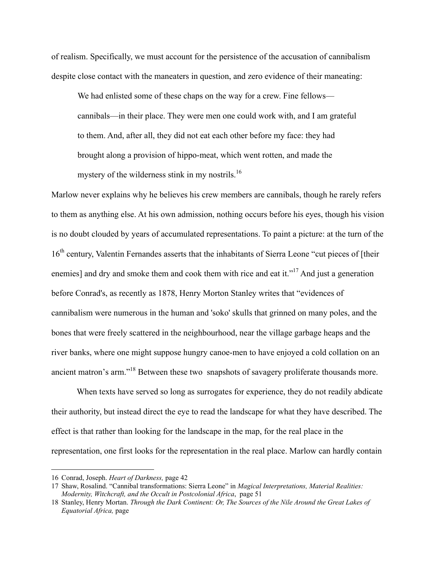of realism. Specifically, we must account for the persistence of the accusation of cannibalism despite close contact with the maneaters in question, and zero evidence of their maneating:

We had enlisted some of these chaps on the way for a crew. Fine fellows cannibals—in their place. They were men one could work with, and I am grateful to them. And, after all, they did not eat each other before my face: they had brought along a provision of hippo-meat, which went rotten, and made the mystery of the wilderness stink in my nostrils. $16$ 

Marlow never explains why he believes his crew members are cannibals, though he rarely refers to them as anything else. At his own admission, nothing occurs before his eyes, though his vision is no doubt clouded by years of accumulated representations. To paint a picture: at the turn of the 16<sup>th</sup> century, Valentin Fernandes asserts that the inhabitants of Sierra Leone "cut pieces of [their enemies] and dry and smoke them and cook them with rice and eat it."<sup>17</sup> And just a generation before Conrad's, as recently as 1878, Henry Morton Stanley writes that "evidences of cannibalism were numerous in the human and 'soko' skulls that grinned on many poles, and the bones that were freely scattered in the neighbourhood, near the village garbage heaps and the river banks, where one might suppose hungry canoe-men to have enjoyed a cold collation on an ancient matron's arm."18 Between these two snapshots of savagery proliferate thousands more.

When texts have served so long as surrogates for experience, they do not readily abdicate their authority, but instead direct the eye to read the landscape for what they have described. The effect is that rather than looking for the landscape in the map, for the real place in the representation, one first looks for the representation in the real place. Marlow can hardly contain

 <sup>16</sup> Conrad, Joseph. *Heart of Darkness,* page <sup>42</sup>

<sup>17</sup> Shaw, Rosalind. "Cannibal transformations: Sierra Leone" in *Magical Interpretations, Material Realities: Modernity, Witchcraft, and the Occult in Postcolonial Africa*, page 51

<sup>18</sup> Stanley, Henry Mortan. *Through the Dark Continent: Or, The Sources of the Nile Around the Great Lakes of Equatorial Africa,* page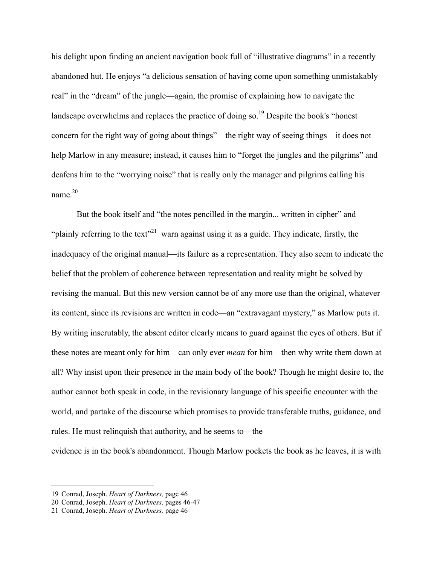his delight upon finding an ancient navigation book full of "illustrative diagrams" in a recently abandoned hut. He enjoys "a delicious sensation of having come upon something unmistakably real" in the "dream" of the jungle—again, the promise of explaining how to navigate the landscape overwhelms and replaces the practice of doing so.<sup>19</sup> Despite the book's "honest" concern for the right way of going about things"—the right way of seeing things—it does not help Marlow in any measure; instead, it causes him to "forget the jungles and the pilgrims" and deafens him to the "worrying noise" that is really only the manager and pilgrims calling his name $^{20}$ 

But the book itself and "the notes pencilled in the margin... written in cipher" and "plainly referring to the text"<sup>21</sup> warn against using it as a guide. They indicate, firstly, the inadequacy of the original manual—its failure as a representation. They also seem to indicate the belief that the problem of coherence between representation and reality might be solved by revising the manual. But this new version cannot be of any more use than the original, whatever its content, since its revisions are written in code—an "extravagant mystery," as Marlow puts it. By writing inscrutably, the absent editor clearly means to guard against the eyes of others. But if these notes are meant only for him—can only ever *mean* for him—then why write them down at all? Why insist upon their presence in the main body of the book? Though he might desire to, the author cannot both speak in code, in the revisionary language of his specific encounter with the world, and partake of the discourse which promises to provide transferable truths, guidance, and rules. He must relinquish that authority, and he seems to—the

evidence is in the book's abandonment. Though Marlow pockets the book as he leaves, it is with

 <sup>19</sup> Conrad, Joseph. *Heart of Darkness,* page <sup>46</sup>

<sup>20</sup> Conrad, Joseph. *Heart of Darkness,* pages 46-47

<sup>21</sup> Conrad, Joseph. *Heart of Darkness,* page 46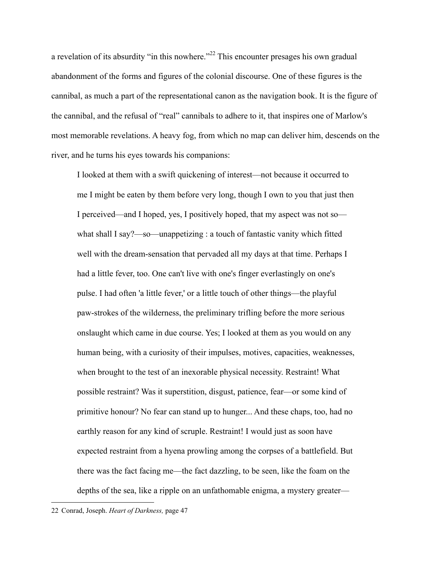a revelation of its absurdity "in this nowhere."<sup>22</sup> This encounter presages his own gradual abandonment of the forms and figures of the colonial discourse. One of these figures is the cannibal, as much a part of the representational canon as the navigation book. It is the figure of the cannibal, and the refusal of "real" cannibals to adhere to it, that inspires one of Marlow's most memorable revelations. A heavy fog, from which no map can deliver him, descends on the river, and he turns his eyes towards his companions:

I looked at them with a swift quickening of interest—not because it occurred to me I might be eaten by them before very long, though I own to you that just then I perceived—and I hoped, yes, I positively hoped, that my aspect was not so what shall I say?—so—unappetizing : a touch of fantastic vanity which fitted well with the dream-sensation that pervaded all my days at that time. Perhaps I had a little fever, too. One can't live with one's finger everlastingly on one's pulse. I had often 'a little fever,' or a little touch of other things—the playful paw-strokes of the wilderness, the preliminary trifling before the more serious onslaught which came in due course. Yes; I looked at them as you would on any human being, with a curiosity of their impulses, motives, capacities, weaknesses, when brought to the test of an inexorable physical necessity. Restraint! What possible restraint? Was it superstition, disgust, patience, fear—or some kind of primitive honour? No fear can stand up to hunger... And these chaps, too, had no earthly reason for any kind of scruple. Restraint! I would just as soon have expected restraint from a hyena prowling among the corpses of a battlefield. But there was the fact facing me—the fact dazzling, to be seen, like the foam on the depths of the sea, like a ripple on an unfathomable enigma, a mystery greater—

<sup>22</sup> Conrad, Joseph. *Heart of Darkness,* page 47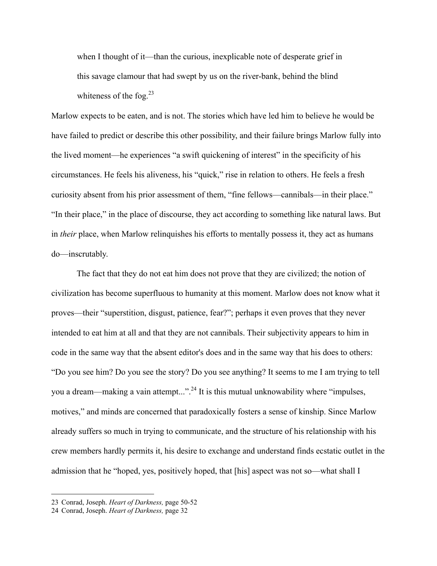when I thought of it—than the curious, inexplicable note of desperate grief in this savage clamour that had swept by us on the river-bank, behind the blind whiteness of the fog. $^{23}$ 

Marlow expects to be eaten, and is not. The stories which have led him to believe he would be have failed to predict or describe this other possibility, and their failure brings Marlow fully into the lived moment—he experiences "a swift quickening of interest" in the specificity of his circumstances. He feels his aliveness, his "quick," rise in relation to others. He feels a fresh curiosity absent from his prior assessment of them, "fine fellows—cannibals—in their place." "In their place," in the place of discourse, they act according to something like natural laws. But in *their* place, when Marlow relinquishes his efforts to mentally possess it, they act as humans do—inscrutably.

The fact that they do not eat him does not prove that they are civilized; the notion of civilization has become superfluous to humanity at this moment. Marlow does not know what it proves—their "superstition, disgust, patience, fear?"; perhaps it even proves that they never intended to eat him at all and that they are not cannibals. Their subjectivity appears to him in code in the same way that the absent editor's does and in the same way that his does to others: "Do you see him? Do you see the story? Do you see anything? It seems to me I am trying to tell you a dream—making a vain attempt...".<sup>24</sup> It is this mutual unknowability where "impulses, motives," and minds are concerned that paradoxically fosters a sense of kinship. Since Marlow already suffers so much in trying to communicate, and the structure of his relationship with his crew members hardly permits it, his desire to exchange and understand finds ecstatic outlet in the admission that he "hoped, yes, positively hoped, that [his] aspect was not so—what shall I

<sup>23</sup> Conrad, Joseph. *Heart of Darkness,* page 50-52

<sup>24</sup> Conrad, Joseph. *Heart of Darkness,* page 32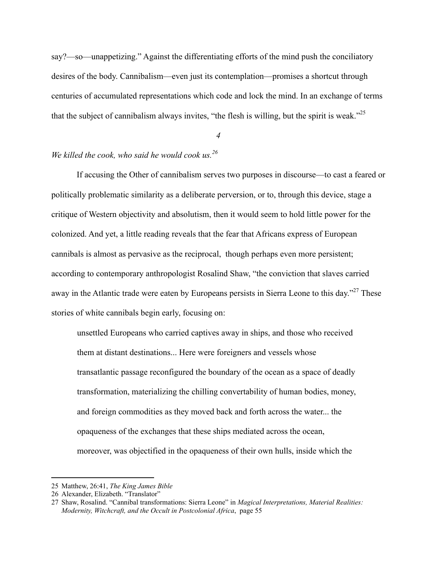say?—so—unappetizing." Against the differentiating efforts of the mind push the conciliatory desires of the body. Cannibalism—even just its contemplation—promises a shortcut through centuries of accumulated representations which code and lock the mind. In an exchange of terms that the subject of cannibalism always invites, "the flesh is willing, but the spirit is weak."<sup>25</sup>

*4*

## *We killed the cook, who said he would cook us.<sup>26</sup>*

If accusing the Other of cannibalism serves two purposes in discourse—to cast a feared or politically problematic similarity as a deliberate perversion, or to, through this device, stage a critique of Western objectivity and absolutism, then it would seem to hold little power for the colonized. And yet, a little reading reveals that the fear that Africans express of European cannibals is almost as pervasive as the reciprocal, though perhaps even more persistent; according to contemporary anthropologist Rosalind Shaw, "the conviction that slaves carried away in the Atlantic trade were eaten by Europeans persists in Sierra Leone to this day."<sup>27</sup> These stories of white cannibals begin early, focusing on:

unsettled Europeans who carried captives away in ships, and those who received them at distant destinations... Here were foreigners and vessels whose transatlantic passage reconfigured the boundary of the ocean as a space of deadly transformation, materializing the chilling convertability of human bodies, money, and foreign commodities as they moved back and forth across the water... the opaqueness of the exchanges that these ships mediated across the ocean, moreover, was objectified in the opaqueness of their own hulls, inside which the

<sup>25</sup> Matthew, 26:41, *The King James Bible*

<sup>26</sup> Alexander, Elizabeth. "Translator"

<sup>27</sup> Shaw, Rosalind. "Cannibal transformations: Sierra Leone" in *Magical Interpretations, Material Realities: Modernity, Witchcraft, and the Occult in Postcolonial Africa*, page 55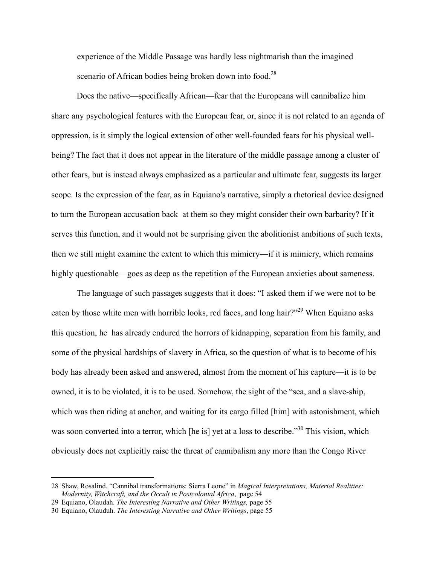experience of the Middle Passage was hardly less nightmarish than the imagined scenario of African bodies being broken down into food.<sup>28</sup>

Does the native—specifically African—fear that the Europeans will cannibalize him share any psychological features with the European fear, or, since it is not related to an agenda of oppression, is it simply the logical extension of other well-founded fears for his physical wellbeing? The fact that it does not appear in the literature of the middle passage among a cluster of other fears, but is instead always emphasized as a particular and ultimate fear, suggests its larger scope. Is the expression of the fear, as in Equiano's narrative, simply a rhetorical device designed to turn the European accusation back at them so they might consider their own barbarity? If it serves this function, and it would not be surprising given the abolitionist ambitions of such texts, then we still might examine the extent to which this mimicry—if it is mimicry, which remains highly questionable—goes as deep as the repetition of the European anxieties about sameness.

The language of such passages suggests that it does: "I asked them if we were not to be eaten by those white men with horrible looks, red faces, and long hair?"<sup>29</sup> When Equiano asks this question, he has already endured the horrors of kidnapping, separation from his family, and some of the physical hardships of slavery in Africa, so the question of what is to become of his body has already been asked and answered, almost from the moment of his capture—it is to be owned, it is to be violated, it is to be used. Somehow, the sight of the "sea, and a slave-ship, which was then riding at anchor, and waiting for its cargo filled [him] with astonishment, which was soon converted into a terror, which [he is] yet at a loss to describe."<sup>30</sup> This vision, which obviously does not explicitly raise the threat of cannibalism any more than the Congo River

<sup>28</sup> Shaw, Rosalind. "Cannibal transformations: Sierra Leone" in *Magical Interpretations, Material Realities: Modernity, Witchcraft, and the Occult in Postcolonial Africa*, page 54

<sup>29</sup> Equiano, Olaudah. *The Interesting Narrative and Other Writings,* page 55

<sup>30</sup> Equiano, Olauduh. *The Interesting Narrative and Other Writings*, page 55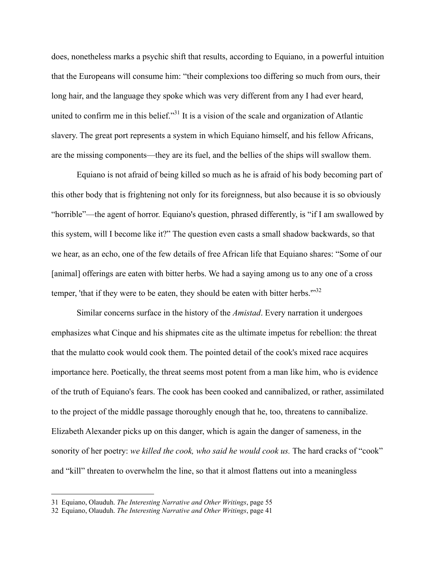does, nonetheless marks a psychic shift that results, according to Equiano, in a powerful intuition that the Europeans will consume him: "their complexions too differing so much from ours, their long hair, and the language they spoke which was very different from any I had ever heard, united to confirm me in this belief."<sup>31</sup> It is a vision of the scale and organization of Atlantic slavery. The great port represents a system in which Equiano himself, and his fellow Africans, are the missing components—they are its fuel, and the bellies of the ships will swallow them.

Equiano is not afraid of being killed so much as he is afraid of his body becoming part of this other body that is frightening not only for its foreignness, but also because it is so obviously "horrible"—the agent of horror. Equiano's question, phrased differently, is "if I am swallowed by this system, will I become like it?" The question even casts a small shadow backwards, so that we hear, as an echo, one of the few details of free African life that Equiano shares: "Some of our [animal] offerings are eaten with bitter herbs. We had a saying among us to any one of a cross temper, 'that if they were to be eaten, they should be eaten with bitter herbs." $32$ 

Similar concerns surface in the history of the *Amistad*. Every narration it undergoes emphasizes what Cinque and his shipmates cite as the ultimate impetus for rebellion: the threat that the mulatto cook would cook them. The pointed detail of the cook's mixed race acquires importance here. Poetically, the threat seems most potent from a man like him, who is evidence of the truth of Equiano's fears. The cook has been cooked and cannibalized, or rather, assimilated to the project of the middle passage thoroughly enough that he, too, threatens to cannibalize. Elizabeth Alexander picks up on this danger, which is again the danger of sameness, in the sonority of her poetry: *we killed the cook, who said he would cook us*. The hard cracks of "cook" and "kill" threaten to overwhelm the line, so that it almost flattens out into a meaningless

<sup>31</sup> Equiano, Olauduh. *The Interesting Narrative and Other Writings*, page 55

<sup>32</sup> Equiano, Olauduh. *The Interesting Narrative and Other Writings*, page 41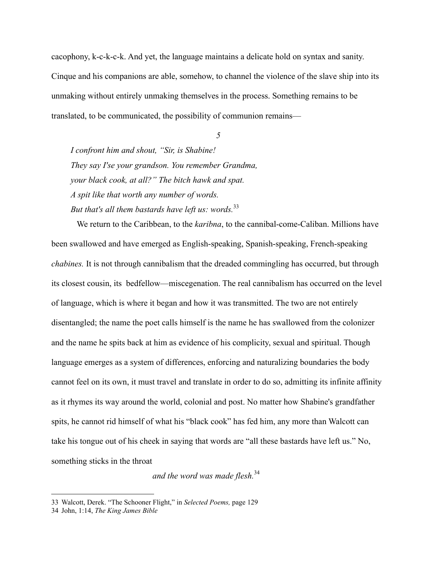cacophony, k-c-k-c-k. And yet, the language maintains a delicate hold on syntax and sanity. Cinque and his companions are able, somehow, to channel the violence of the slave ship into its unmaking without entirely unmaking themselves in the process. Something remains to be translated, to be communicated, the possibility of communion remains—

*5*

*I confront him and shout, "Sir, is Shabine! They say I'se your grandson. You remember Grandma, your black cook, at all?" The bitch hawk and spat. A spit like that worth any number of words. But that's all them bastards have left us: words.*<sup>33</sup>

We return to the Caribbean, to the *karibna*, to the cannibal-come-Caliban. Millions have been swallowed and have emerged as English-speaking, Spanish-speaking, French-speaking *chabines.* It is not through cannibalism that the dreaded commingling has occurred, but through its closest cousin, its bedfellow—miscegenation. The real cannibalism has occurred on the level of language, which is where it began and how it was transmitted. The two are not entirely disentangled; the name the poet calls himself is the name he has swallowed from the colonizer and the name he spits back at him as evidence of his complicity, sexual and spiritual. Though language emerges as a system of differences, enforcing and naturalizing boundaries the body cannot feel on its own, it must travel and translate in order to do so, admitting its infinite affinity as it rhymes its way around the world, colonial and post. No matter how Shabine's grandfather spits, he cannot rid himself of what his "black cook" has fed him, any more than Walcott can take his tongue out of his cheek in saying that words are "all these bastards have left us." No, something sticks in the throat

*and the word was made flesh.*<sup>34</sup>

<sup>33</sup> Walcott, Derek. "The Schooner Flight," in *Selected Poems,* page 129

<sup>34</sup> John, 1:14, *The King James Bible*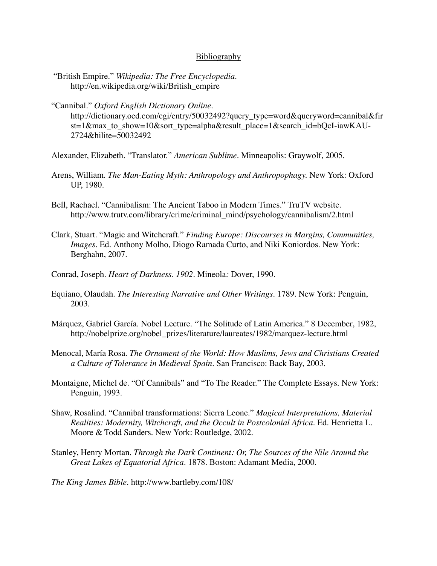## **Bibliography**

- "British Empire." *Wikipedia: The Free Encyclopedia*. http://en.wikipedia.org/wiki/British\_empire
- "Cannibal." *Oxford English Dictionary Online*. http://dictionary.oed.com/cgi/entry/50032492?query\_type=word&queryword=cannibal&fir st=1&max\_to\_show=10&sort\_type=alpha&result\_place=1&search\_id=bQcI-iawKAU-2724&hilite=50032492
- Alexander, Elizabeth. "Translator." *American Sublime*. Minneapolis: Graywolf, 2005.
- Arens, William. *The Man-Eating Myth: Anthropology and Anthropophagy.* New York: Oxford UP, 1980.
- Bell, Rachael. "Cannibalism: The Ancient Taboo in Modern Times." TruTV website. http://www.trutv.com/library/crime/criminal\_mind/psychology/cannibalism/2.html
- Clark, Stuart. "Magic and Witchcraft." *Finding Europe: Discourses in Margins, Communities, Images.* Ed. Anthony Molho, Diogo Ramada Curto, and Niki Koniordos. New York: Berghahn, 2007.
- Conrad, Joseph. *Heart of Darkness. 1902.* Mineola*:* Dover, 1990.
- Equiano, Olaudah. *The Interesting Narrative and Other Writings.* 1789. New York: Penguin, 2003.
- Márquez, Gabriel García. Nobel Lecture. "The Solitude of Latin America." 8 December, 1982, http://nobelprize.org/nobel\_prizes/literature/laureates/1982/marquez-lecture.html
- Menocal, María Rosa. *The Ornament of the World: How Muslims, Jews and Christians Created a Culture of Tolerance in Medieval Spain.* San Francisco: Back Bay, 2003.
- Montaigne, Michel de. "Of Cannibals" and "To The Reader." The Complete Essays. New York: Penguin, 1993.
- Shaw, Rosalind. "Cannibal transformations: Sierra Leone." *Magical Interpretations, Material Realities: Modernity, Witchcraft, and the Occult in Postcolonial Africa*. Ed. Henrietta L. Moore & Todd Sanders. New York: Routledge, 2002.
- Stanley, Henry Mortan. *Through the Dark Continent: Or, The Sources of the Nile Around the Great Lakes of Equatorial Africa.* 1878. Boston: Adamant Media, 2000.

*The King James Bible.* http://www.bartleby.com/108/